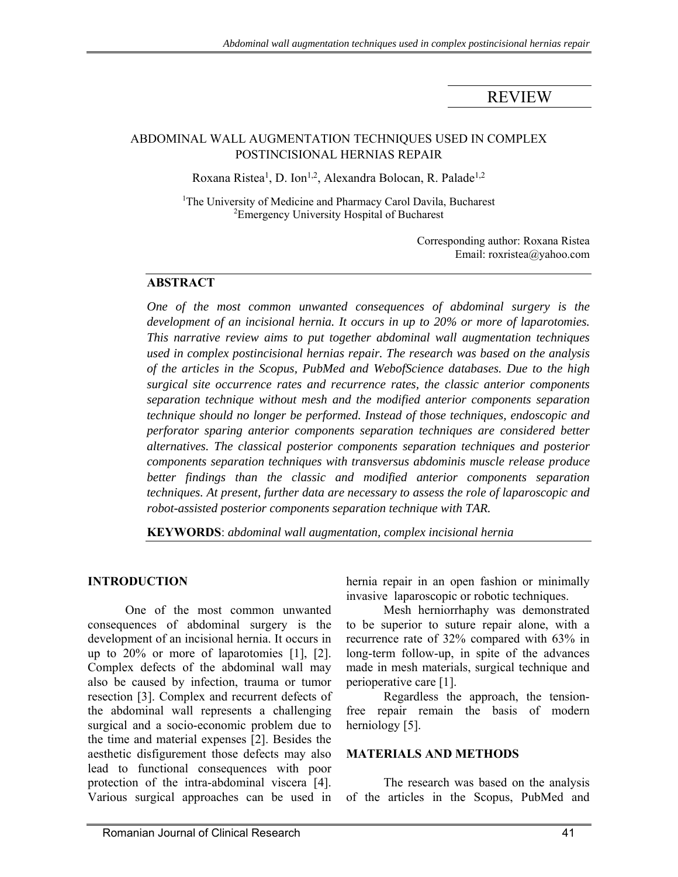# REVIEW

### ABDOMINAL WALL AUGMENTATION TECHNIQUES USED IN COMPLEX POSTINCISIONAL HERNIAS REPAIR

Roxana Ristea<sup>1</sup>, D. Ion<sup>1,2</sup>, Alexandra Bolocan, R. Palade<sup>1,2</sup>

<sup>1</sup>The University of Medicine and Pharmacy Carol Davila, Bucharest <sup>2</sup> Emergency University Hospital of Bucharest

> Corresponding author: Roxana Ristea Email: roxristea@yahoo.com

#### **ABSTRACT**

*One of the most common unwanted consequences of abdominal surgery is the development of an incisional hernia. It occurs in up to 20% or more of laparotomies. This narrative review aims to put together abdominal wall augmentation techniques used in complex postincisional hernias repair. The research was based on the analysis of the articles in the Scopus, PubMed and WebofScience databases. Due to the high surgical site occurrence rates and recurrence rates, the classic anterior components separation technique without mesh and the modified anterior components separation technique should no longer be performed. Instead of those techniques, endoscopic and perforator sparing anterior components separation techniques are considered better alternatives. The classical posterior components separation techniques and posterior components separation techniques with transversus abdominis muscle release produce better findings than the classic and modified anterior components separation techniques. At present, further data are necessary to assess the role of laparoscopic and robot-assisted posterior components separation technique with TAR.* 

**KEYWORDS**: *abdominal wall augmentation, complex incisional hernia*

### **INTRODUCTION**

One of the most common unwanted consequences of abdominal surgery is the development of an incisional hernia. It occurs in up to 20% or more of laparotomies [1], [2]. Complex defects of the abdominal wall may also be caused by infection, trauma or tumor resection [3]. Complex and recurrent defects of the abdominal wall represents a challenging surgical and a socio-economic problem due to the time and material expenses [2]. Besides the aesthetic disfigurement those defects may also lead to functional consequences with poor protection of the intra-abdominal viscera [4]. Various surgical approaches can be used in hernia repair in an open fashion or minimally invasive laparoscopic or robotic techniques.

Mesh herniorrhaphy was demonstrated to be superior to suture repair alone, with a recurrence rate of 32% compared with 63% in long-term follow-up, in spite of the advances made in mesh materials, surgical technique and perioperative care [1].

Regardless the approach, the tensionfree repair remain the basis of modern herniology [5].

#### **MATERIALS AND METHODS**

The research was based on the analysis of the articles in the Scopus, PubMed and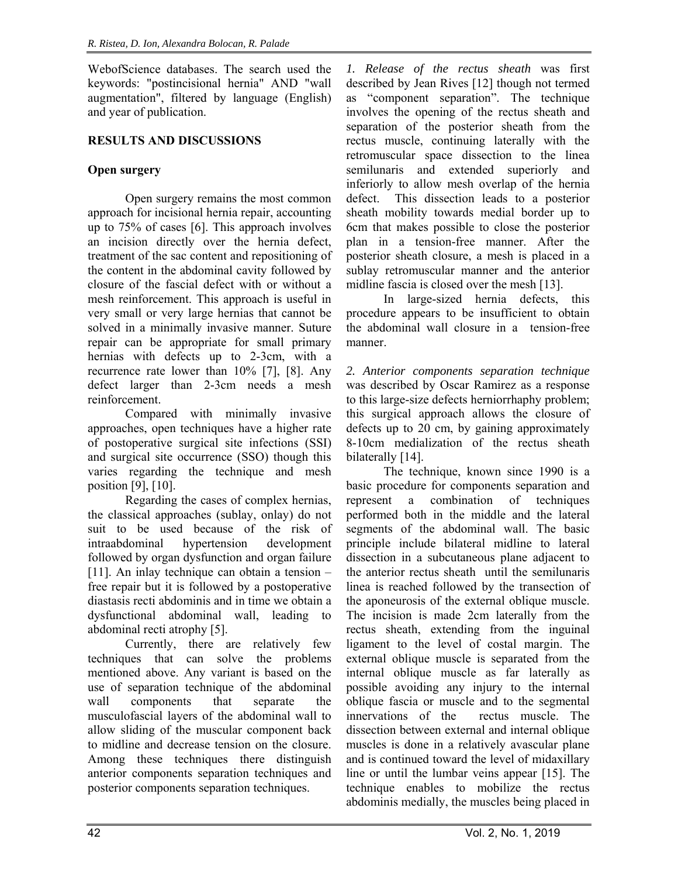WebofScience databases. The search used the keywords: "postincisional hernia" AND "wall augmentation", filtered by language (English) and year of publication.

## **RESULTS AND DISCUSSIONS**

## **Open surgery**

Open surgery remains the most common approach for incisional hernia repair, accounting up to 75% of cases [6]. This approach involves an incision directly over the hernia defect, treatment of the sac content and repositioning of the content in the abdominal cavity followed by closure of the fascial defect with or without a mesh reinforcement. This approach is useful in very small or very large hernias that cannot be solved in a minimally invasive manner. Suture repair can be appropriate for small primary hernias with defects up to 2-3cm, with a recurrence rate lower than 10% [7], [8]. Any defect larger than 2-3cm needs a mesh reinforcement.

Compared with minimally invasive approaches, open techniques have a higher rate of postoperative surgical site infections (SSI) and surgical site occurrence (SSO) though this varies regarding the technique and mesh position [9], [10].

Regarding the cases of complex hernias, the classical approaches (sublay, onlay) do not suit to be used because of the risk of intraabdominal hypertension development followed by organ dysfunction and organ failure [11]. An inlay technique can obtain a tension – free repair but it is followed by a postoperative diastasis recti abdominis and in time we obtain a dysfunctional abdominal wall, leading to abdominal recti atrophy [5].

Currently, there are relatively few techniques that can solve the problems mentioned above. Any variant is based on the use of separation technique of the abdominal wall components that separate the musculofascial layers of the abdominal wall to allow sliding of the muscular component back to midline and decrease tension on the closure. Among these techniques there distinguish anterior components separation techniques and posterior components separation techniques.

*1. Release of the rectus sheath* was first described by Jean Rives [12] though not termed as "component separation". The technique involves the opening of the rectus sheath and separation of the posterior sheath from the rectus muscle, continuing laterally with the retromuscular space dissection to the linea semilunaris and extended superiorly and inferiorly to allow mesh overlap of the hernia defect. This dissection leads to a posterior sheath mobility towards medial border up to 6cm that makes possible to close the posterior plan in a tension-free manner. After the posterior sheath closure, a mesh is placed in a sublay retromuscular manner and the anterior midline fascia is closed over the mesh [13].

In large-sized hernia defects, this procedure appears to be insufficient to obtain the abdominal wall closure in a tension-free manner.

*2. Anterior components separation technique* was described by Oscar Ramirez as a response to this large-size defects herniorrhaphy problem; this surgical approach allows the closure of defects up to 20 cm, by gaining approximately 8-10cm medialization of the rectus sheath bilaterally [14].

The technique, known since 1990 is a basic procedure for components separation and represent a combination of techniques performed both in the middle and the lateral segments of the abdominal wall. The basic principle include bilateral midline to lateral dissection in a subcutaneous plane adjacent to the anterior rectus sheath until the semilunaris linea is reached followed by the transection of the aponeurosis of the external oblique muscle. The incision is made 2cm laterally from the rectus sheath, extending from the inguinal ligament to the level of costal margin. The external oblique muscle is separated from the internal oblique muscle as far laterally as possible avoiding any injury to the internal oblique fascia or muscle and to the segmental innervations of the rectus muscle. The dissection between external and internal oblique muscles is done in a relatively avascular plane and is continued toward the level of midaxillary line or until the lumbar veins appear [15]. The technique enables to mobilize the rectus abdominis medially, the muscles being placed in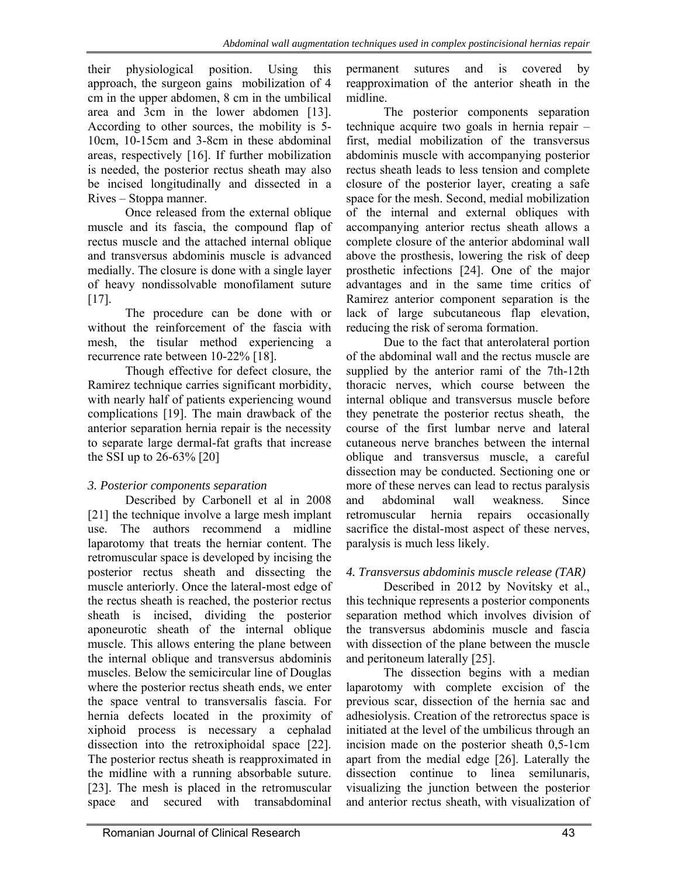their physiological position. Using this approach, the surgeon gains mobilization of 4 cm in the upper abdomen, 8 cm in the umbilical area and 3cm in the lower abdomen [13]. According to other sources, the mobility is 5- 10cm, 10-15cm and 3-8cm in these abdominal areas, respectively [16]. If further mobilization is needed, the posterior rectus sheath may also be incised longitudinally and dissected in a Rives – Stoppa manner.

Once released from the external oblique muscle and its fascia, the compound flap of rectus muscle and the attached internal oblique and transversus abdominis muscle is advanced medially. The closure is done with a single layer of heavy nondissolvable monofilament suture [17].

The procedure can be done with or without the reinforcement of the fascia with mesh, the tisular method experiencing a recurrence rate between 10-22% [18].

Though effective for defect closure, the Ramirez technique carries significant morbidity, with nearly half of patients experiencing wound complications [19]. The main drawback of the anterior separation hernia repair is the necessity to separate large dermal-fat grafts that increase the SSI up to 26-63% [20]

## *3. Posterior components separation*

Described by Carbonell et al in 2008 [21] the technique involve a large mesh implant use. The authors recommend a midline laparotomy that treats the herniar content. The retromuscular space is developed by incising the posterior rectus sheath and dissecting the muscle anteriorly. Once the lateral-most edge of the rectus sheath is reached, the posterior rectus sheath is incised, dividing the posterior aponeurotic sheath of the internal oblique muscle. This allows entering the plane between the internal oblique and transversus abdominis muscles. Below the semicircular line of Douglas where the posterior rectus sheath ends, we enter the space ventral to transversalis fascia. For hernia defects located in the proximity of xiphoid process is necessary a cephalad dissection into the retroxiphoidal space [22]. The posterior rectus sheath is reapproximated in the midline with a running absorbable suture. [23]. The mesh is placed in the retromuscular space and secured with transabdominal

permanent sutures and is covered by reapproximation of the anterior sheath in the midline.

The posterior components separation technique acquire two goals in hernia repair – first, medial mobilization of the transversus abdominis muscle with accompanying posterior rectus sheath leads to less tension and complete closure of the posterior layer, creating a safe space for the mesh. Second, medial mobilization of the internal and external obliques with accompanying anterior rectus sheath allows a complete closure of the anterior abdominal wall above the prosthesis, lowering the risk of deep prosthetic infections [24]. One of the major advantages and in the same time critics of Ramirez anterior component separation is the lack of large subcutaneous flap elevation, reducing the risk of seroma formation.

Due to the fact that anterolateral portion of the abdominal wall and the rectus muscle are supplied by the anterior rami of the 7th-12th thoracic nerves, which course between the internal oblique and transversus muscle before they penetrate the posterior rectus sheath, the course of the first lumbar nerve and lateral cutaneous nerve branches between the internal oblique and transversus muscle, a careful dissection may be conducted. Sectioning one or more of these nerves can lead to rectus paralysis and abdominal wall weakness. Since retromuscular hernia repairs occasionally sacrifice the distal-most aspect of these nerves, paralysis is much less likely.

# *4. Transversus abdominis muscle release (TAR)*

Described in 2012 by Novitsky et al., this technique represents a posterior components separation method which involves division of the transversus abdominis muscle and fascia with dissection of the plane between the muscle and peritoneum laterally [25].

The dissection begins with a median laparotomy with complete excision of the previous scar, dissection of the hernia sac and adhesiolysis. Creation of the retrorectus space is initiated at the level of the umbilicus through an incision made on the posterior sheath 0,5-1cm apart from the medial edge [26]. Laterally the dissection continue to linea semilunaris, visualizing the junction between the posterior and anterior rectus sheath, with visualization of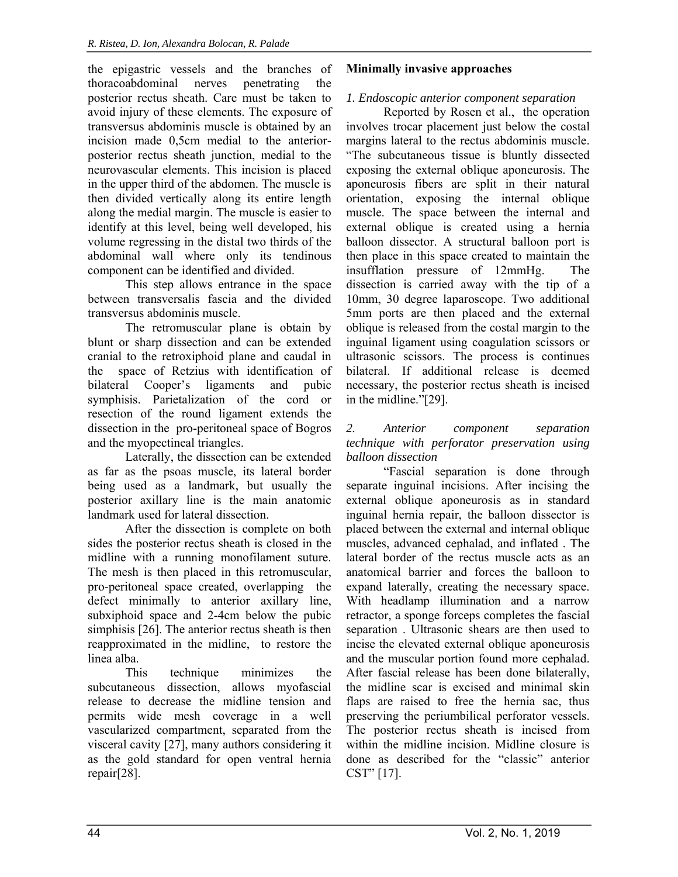the epigastric vessels and the branches of thoracoabdominal nerves penetrating the posterior rectus sheath. Care must be taken to avoid injury of these elements. The exposure of transversus abdominis muscle is obtained by an incision made 0,5cm medial to the anteriorposterior rectus sheath junction, medial to the neurovascular elements. This incision is placed in the upper third of the abdomen. The muscle is then divided vertically along its entire length along the medial margin. The muscle is easier to identify at this level, being well developed, his volume regressing in the distal two thirds of the abdominal wall where only its tendinous component can be identified and divided.

This step allows entrance in the space between transversalis fascia and the divided transversus abdominis muscle.

The retromuscular plane is obtain by blunt or sharp dissection and can be extended cranial to the retroxiphoid plane and caudal in the space of Retzius with identification of bilateral Cooper's ligaments and pubic symphisis. Parietalization of the cord or resection of the round ligament extends the dissection in the pro-peritoneal space of Bogros and the myopectineal triangles.

Laterally, the dissection can be extended as far as the psoas muscle, its lateral border being used as a landmark, but usually the posterior axillary line is the main anatomic landmark used for lateral dissection.

After the dissection is complete on both sides the posterior rectus sheath is closed in the midline with a running monofilament suture. The mesh is then placed in this retromuscular, pro-peritoneal space created, overlapping the defect minimally to anterior axillary line, subxiphoid space and 2-4cm below the pubic simphisis [26]. The anterior rectus sheath is then reapproximated in the midline, to restore the linea alba.

This technique minimizes the subcutaneous dissection, allows myofascial release to decrease the midline tension and permits wide mesh coverage in a well vascularized compartment, separated from the visceral cavity [27], many authors considering it as the gold standard for open ventral hernia repair[28].

### **Minimally invasive approaches**

## *1. Endoscopic anterior component separation*

Reported by Rosen et al., the operation involves trocar placement just below the costal margins lateral to the rectus abdominis muscle. "The subcutaneous tissue is bluntly dissected exposing the external oblique aponeurosis. The aponeurosis fibers are split in their natural orientation, exposing the internal oblique muscle. The space between the internal and external oblique is created using a hernia balloon dissector. A structural balloon port is then place in this space created to maintain the insufflation pressure of 12mmHg. The dissection is carried away with the tip of a 10mm, 30 degree laparoscope. Two additional 5mm ports are then placed and the external oblique is released from the costal margin to the inguinal ligament using coagulation scissors or ultrasonic scissors. The process is continues bilateral. If additional release is deemed necessary, the posterior rectus sheath is incised in the midline."[29].

#### *2. Anterior component separation technique with perforator preservation using balloon dissection*

"Fascial separation is done through separate inguinal incisions. After incising the external oblique aponeurosis as in standard inguinal hernia repair, the balloon dissector is placed between the external and internal oblique muscles, advanced cephalad, and inflated . The lateral border of the rectus muscle acts as an anatomical barrier and forces the balloon to expand laterally, creating the necessary space. With headlamp illumination and a narrow retractor, a sponge forceps completes the fascial separation . Ultrasonic shears are then used to incise the elevated external oblique aponeurosis and the muscular portion found more cephalad. After fascial release has been done bilaterally, the midline scar is excised and minimal skin flaps are raised to free the hernia sac, thus preserving the periumbilical perforator vessels. The posterior rectus sheath is incised from within the midline incision. Midline closure is done as described for the "classic" anterior CST" [17].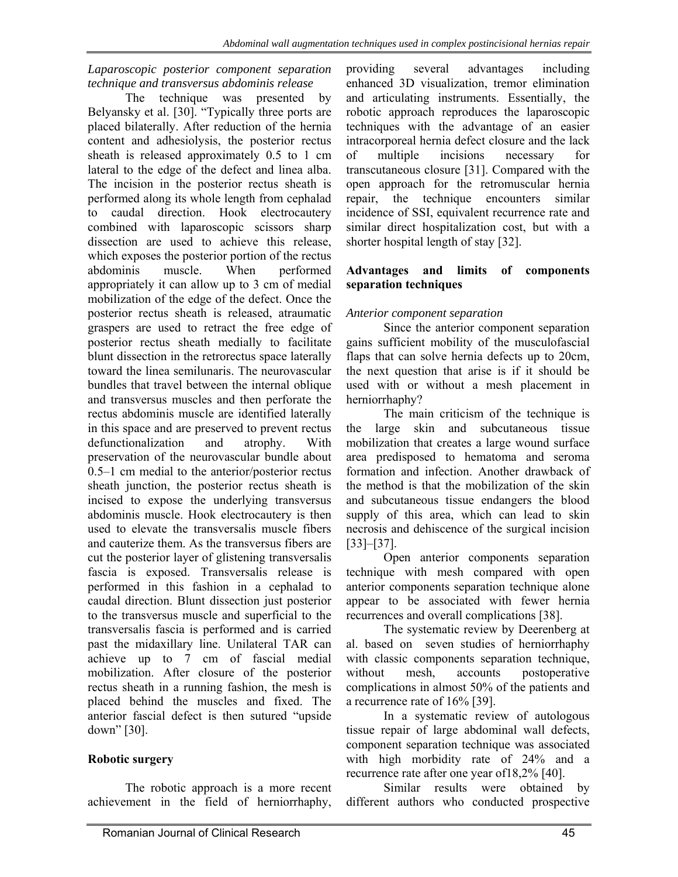#### *Laparoscopic posterior component separation technique and transversus abdominis release*

The technique was presented by Belyansky et al. [30]. "Typically three ports are placed bilaterally. After reduction of the hernia content and adhesiolysis, the posterior rectus sheath is released approximately 0.5 to 1 cm lateral to the edge of the defect and linea alba. The incision in the posterior rectus sheath is performed along its whole length from cephalad to caudal direction. Hook electrocautery combined with laparoscopic scissors sharp dissection are used to achieve this release, which exposes the posterior portion of the rectus abdominis muscle. When performed appropriately it can allow up to 3 cm of medial mobilization of the edge of the defect. Once the posterior rectus sheath is released, atraumatic graspers are used to retract the free edge of posterior rectus sheath medially to facilitate blunt dissection in the retrorectus space laterally toward the linea semilunaris. The neurovascular bundles that travel between the internal oblique and transversus muscles and then perforate the rectus abdominis muscle are identified laterally in this space and are preserved to prevent rectus defunctionalization and atrophy. With preservation of the neurovascular bundle about 0.5–1 cm medial to the anterior/posterior rectus sheath junction, the posterior rectus sheath is incised to expose the underlying transversus abdominis muscle. Hook electrocautery is then used to elevate the transversalis muscle fibers and cauterize them. As the transversus fibers are cut the posterior layer of glistening transversalis fascia is exposed. Transversalis release is performed in this fashion in a cephalad to caudal direction. Blunt dissection just posterior to the transversus muscle and superficial to the transversalis fascia is performed and is carried past the midaxillary line. Unilateral TAR can achieve up to 7 cm of fascial medial mobilization. After closure of the posterior rectus sheath in a running fashion, the mesh is placed behind the muscles and fixed. The anterior fascial defect is then sutured "upside down" [30].

### **Robotic surgery**

The robotic approach is a more recent achievement in the field of herniorrhaphy, providing several advantages including enhanced 3D visualization, tremor elimination and articulating instruments. Essentially, the robotic approach reproduces the laparoscopic techniques with the advantage of an easier intracorporeal hernia defect closure and the lack of multiple incisions necessary for transcutaneous closure [31]. Compared with the open approach for the retromuscular hernia repair, the technique encounters similar incidence of SSI, equivalent recurrence rate and similar direct hospitalization cost, but with a shorter hospital length of stay [32].

#### **Advantages and limits of components separation techniques**

#### *Anterior component separation*

Since the anterior component separation gains sufficient mobility of the musculofascial flaps that can solve hernia defects up to 20cm, the next question that arise is if it should be used with or without a mesh placement in herniorrhaphy?

The main criticism of the technique is the large skin and subcutaneous tissue mobilization that creates a large wound surface area predisposed to hematoma and seroma formation and infection. Another drawback of the method is that the mobilization of the skin and subcutaneous tissue endangers the blood supply of this area, which can lead to skin necrosis and dehiscence of the surgical incision [33]–[37].

Open anterior components separation technique with mesh compared with open anterior components separation technique alone appear to be associated with fewer hernia recurrences and overall complications [38].

The systematic review by Deerenberg at al. based on seven studies of herniorrhaphy with classic components separation technique, without mesh, accounts postoperative complications in almost 50% of the patients and a recurrence rate of 16% [39].

In a systematic review of autologous tissue repair of large abdominal wall defects, component separation technique was associated with high morbidity rate of 24% and a recurrence rate after one year of18,2% [40].

Similar results were obtained by different authors who conducted prospective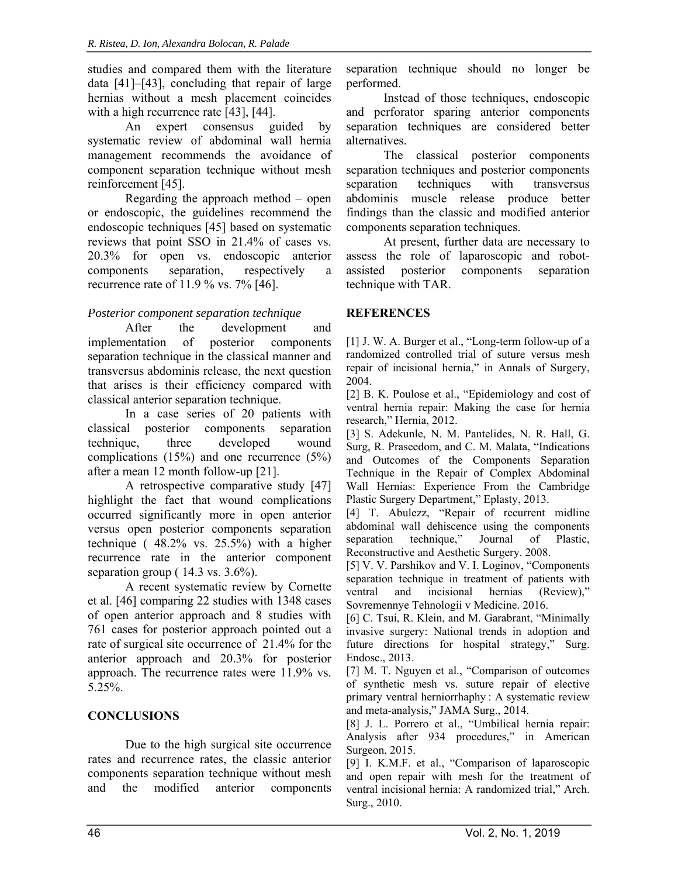studies and compared them with the literature data [41]–[43], concluding that repair of large hernias without a mesh placement coincides with a high recurrence rate [43], [44].

An expert consensus guided by systematic review of abdominal wall hernia management recommends the avoidance of component separation technique without mesh reinforcement [45].

Regarding the approach method – open or endoscopic, the guidelines recommend the endoscopic techniques [45] based on systematic reviews that point SSO in 21.4% of cases vs. 20.3% for open vs. endoscopic anterior components separation, respectively a recurrence rate of 11.9 % vs. 7% [46].

## *Posterior component separation technique*

After the development and implementation of posterior components separation technique in the classical manner and transversus abdominis release, the next question that arises is their efficiency compared with classical anterior separation technique.

In a case series of 20 patients with classical posterior components separation technique, three developed wound complications (15%) and one recurrence (5%) after a mean 12 month follow-up [21].

A retrospective comparative study [47] highlight the fact that wound complications occurred significantly more in open anterior versus open posterior components separation technique ( 48.2% vs. 25.5%) with a higher recurrence rate in the anterior component separation group  $(14.3 \text{ vs. } 3.6\%)$ .

A recent systematic review by Cornette et al. [46] comparing 22 studies with 1348 cases of open anterior approach and 8 studies with 761 cases for posterior approach pointed out a rate of surgical site occurrence of 21.4% for the anterior approach and 20.3% for posterior approach. The recurrence rates were 11.9% vs. 5.25%.

## **CONCLUSIONS**

Due to the high surgical site occurrence rates and recurrence rates, the classic anterior components separation technique without mesh and the modified anterior components

separation technique should no longer be performed.

Instead of those techniques, endoscopic and perforator sparing anterior components separation techniques are considered better alternatives.

The classical posterior components separation techniques and posterior components separation techniques with transversus abdominis muscle release produce better findings than the classic and modified anterior components separation techniques.

At present, further data are necessary to assess the role of laparoscopic and robotassisted posterior components separation technique with TAR.

### **REFERENCES**

[1] J. W. A. Burger et al., "Long-term follow-up of a randomized controlled trial of suture versus mesh repair of incisional hernia," in Annals of Surgery, 2004.

[2] B. K. Poulose et al., "Epidemiology and cost of ventral hernia repair: Making the case for hernia research," Hernia, 2012.

[3] S. Adekunle, N. M. Pantelides, N. R. Hall, G. Surg, R. Praseedom, and C. M. Malata, "Indications and Outcomes of the Components Separation Technique in the Repair of Complex Abdominal Wall Hernias: Experience From the Cambridge Plastic Surgery Department," Eplasty, 2013.

[4] T. Abulezz, "Repair of recurrent midline abdominal wall dehiscence using the components separation technique," Journal of Plastic, Reconstructive and Aesthetic Surgery. 2008.

[5] V. V. Parshikov and V. I. Loginov, "Components separation technique in treatment of patients with ventral and incisional hernias (Review)," Sovremennye Tehnologii v Medicine. 2016.

[6] C. Tsui, R. Klein, and M. Garabrant, "Minimally invasive surgery: National trends in adoption and future directions for hospital strategy," Surg. Endosc., 2013.

[7] M. T. Nguyen et al., "Comparison of outcomes of synthetic mesh vs. suture repair of elective primary ventral herniorrhaphy : A systematic review and meta-analysis," JAMA Surg., 2014.

[8] J. L. Porrero et al., "Umbilical hernia repair: Analysis after 934 procedures," in American Surgeon, 2015.

[9] I. K.M.F. et al., "Comparison of laparoscopic and open repair with mesh for the treatment of ventral incisional hernia: A randomized trial," Arch. Surg., 2010.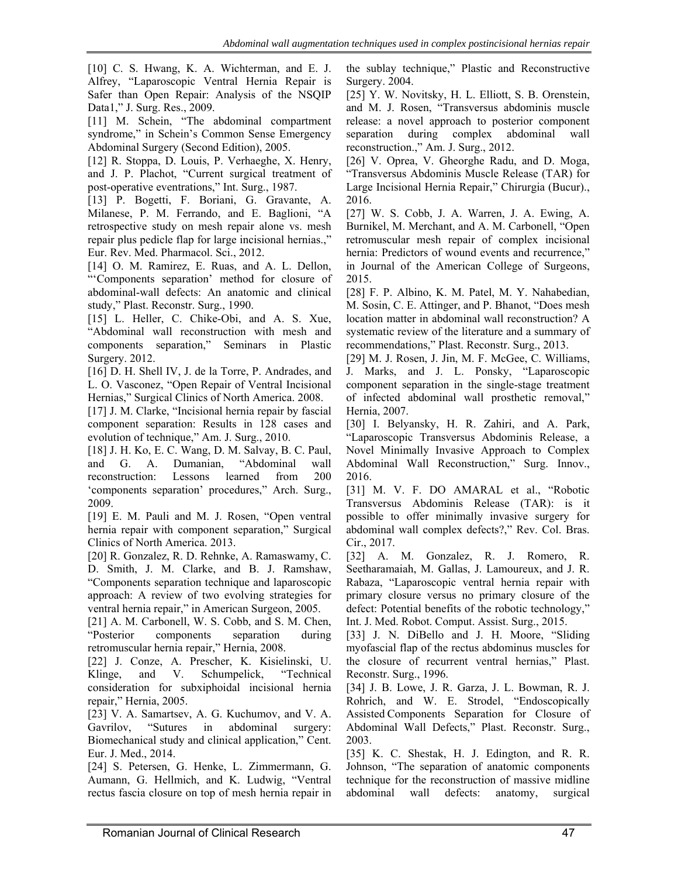[10] C. S. Hwang, K. A. Wichterman, and E. J. Alfrey, "Laparoscopic Ventral Hernia Repair is Safer than Open Repair: Analysis of the NSQIP Data1," J. Surg. Res., 2009.

[11] M. Schein, "The abdominal compartment syndrome," in Schein's Common Sense Emergency Abdominal Surgery (Second Edition), 2005.

[12] R. Stoppa, D. Louis, P. Verhaeghe, X. Henry, and J. P. Plachot, "Current surgical treatment of post-operative eventrations," Int. Surg., 1987.

[13] P. Bogetti, F. Boriani, G. Gravante, A. Milanese, P. M. Ferrando, and E. Baglioni, "A retrospective study on mesh repair alone vs. mesh repair plus pedicle flap for large incisional hernias.," Eur. Rev. Med. Pharmacol. Sci., 2012.

[14] O. M. Ramirez, E. Ruas, and A. L. Dellon, "'Components separation' method for closure of abdominal-wall defects: An anatomic and clinical study," Plast. Reconstr. Surg., 1990.

[15] L. Heller, C. Chike-Obi, and A. S. Xue, "Abdominal wall reconstruction with mesh and components separation," Seminars in Plastic Surgery. 2012.

[16] D. H. Shell IV, J. de la Torre, P. Andrades, and L. O. Vasconez, "Open Repair of Ventral Incisional Hernias," Surgical Clinics of North America. 2008.

[17] J. M. Clarke, "Incisional hernia repair by fascial component separation: Results in 128 cases and evolution of technique," Am. J. Surg., 2010.

[18] J. H. Ko, E. C. Wang, D. M. Salvay, B. C. Paul, and G. A. Dumanian, "Abdominal wall reconstruction: Lessons learned from 200 'components separation' procedures," Arch. Surg., 2009.

[19] E. M. Pauli and M. J. Rosen, "Open ventral hernia repair with component separation," Surgical Clinics of North America. 2013.

[20] R. Gonzalez, R. D. Rehnke, A. Ramaswamy, C. D. Smith, J. M. Clarke, and B. J. Ramshaw, "Components separation technique and laparoscopic approach: A review of two evolving strategies for ventral hernia repair," in American Surgeon, 2005.

[21] A. M. Carbonell, W. S. Cobb, and S. M. Chen, "Posterior components separation during retromuscular hernia repair," Hernia, 2008.

[22] J. Conze, A. Prescher, K. Kisielinski, U. Klinge, and V. Schumpelick, "Technical consideration for subxiphoidal incisional hernia repair," Hernia, 2005.

[23] V. A. Samartsev, A. G. Kuchumov, and V. A. Gavrilov, "Sutures in abdominal surgery: Biomechanical study and clinical application," Cent. Eur. J. Med., 2014.

[24] S. Petersen, G. Henke, L. Zimmermann, G. Aumann, G. Hellmich, and K. Ludwig, "Ventral rectus fascia closure on top of mesh hernia repair in the sublay technique," Plastic and Reconstructive Surgery. 2004.

[25] Y. W. Novitsky, H. L. Elliott, S. B. Orenstein, and M. J. Rosen, "Transversus abdominis muscle release: a novel approach to posterior component separation during complex abdominal wall reconstruction.," Am. J. Surg., 2012.

[26] V. Oprea, V. Gheorghe Radu, and D. Moga, "Transversus Abdominis Muscle Release (TAR) for Large Incisional Hernia Repair," Chirurgia (Bucur)., 2016.

[27] W. S. Cobb, J. A. Warren, J. A. Ewing, A. Burnikel, M. Merchant, and A. M. Carbonell, "Open retromuscular mesh repair of complex incisional hernia: Predictors of wound events and recurrence," in Journal of the American College of Surgeons, 2015.

[28] F. P. Albino, K. M. Patel, M. Y. Nahabedian, M. Sosin, C. E. Attinger, and P. Bhanot, "Does mesh location matter in abdominal wall reconstruction? A systematic review of the literature and a summary of recommendations," Plast. Reconstr. Surg., 2013.

[29] M. J. Rosen, J. Jin, M. F. McGee, C. Williams, J. Marks, and J. L. Ponsky, "Laparoscopic component separation in the single-stage treatment of infected abdominal wall prosthetic removal," Hernia, 2007.

[30] I. Belyansky, H. R. Zahiri, and A. Park, "Laparoscopic Transversus Abdominis Release, a Novel Minimally Invasive Approach to Complex Abdominal Wall Reconstruction," Surg. Innov., 2016.

[31] M. V. F. DO AMARAL et al., "Robotic Transversus Abdominis Release (TAR): is it possible to offer minimally invasive surgery for abdominal wall complex defects?," Rev. Col. Bras. Cir., 2017.

[32] A. M. Gonzalez, R. J. Romero, R. Seetharamaiah, M. Gallas, J. Lamoureux, and J. R. Rabaza, "Laparoscopic ventral hernia repair with primary closure versus no primary closure of the defect: Potential benefits of the robotic technology," Int. J. Med. Robot. Comput. Assist. Surg., 2015.

[33] J. N. DiBello and J. H. Moore, "Sliding myofascial flap of the rectus abdominus muscles for the closure of recurrent ventral hernias," Plast. Reconstr. Surg., 1996.

[34] J. B. Lowe, J. R. Garza, J. L. Bowman, R. J. Rohrich, and W. E. Strodel, "Endoscopically Assisted Components Separation for Closure of Abdominal Wall Defects," Plast. Reconstr. Surg., 2003.

[35] K. C. Shestak, H. J. Edington, and R. R. Johnson, "The separation of anatomic components technique for the reconstruction of massive midline abdominal wall defects: anatomy, surgical